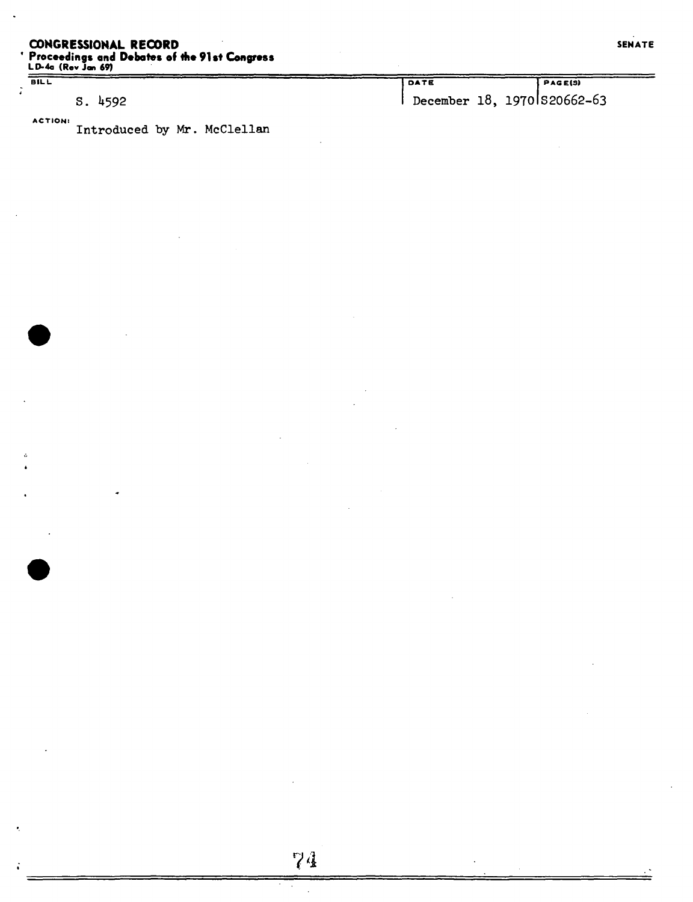# **CONGRESSIONAL RECORD ' Proceedings and Debates of the 91st Congress**

 $BILL$ 

÷

s. U592

**ACTION:** 

**LD-4a (Rev Jan 69)** 

DATE **PASEIS)**  December 18, 19701S20662-63

Introduced by Mr. McClellan

**74**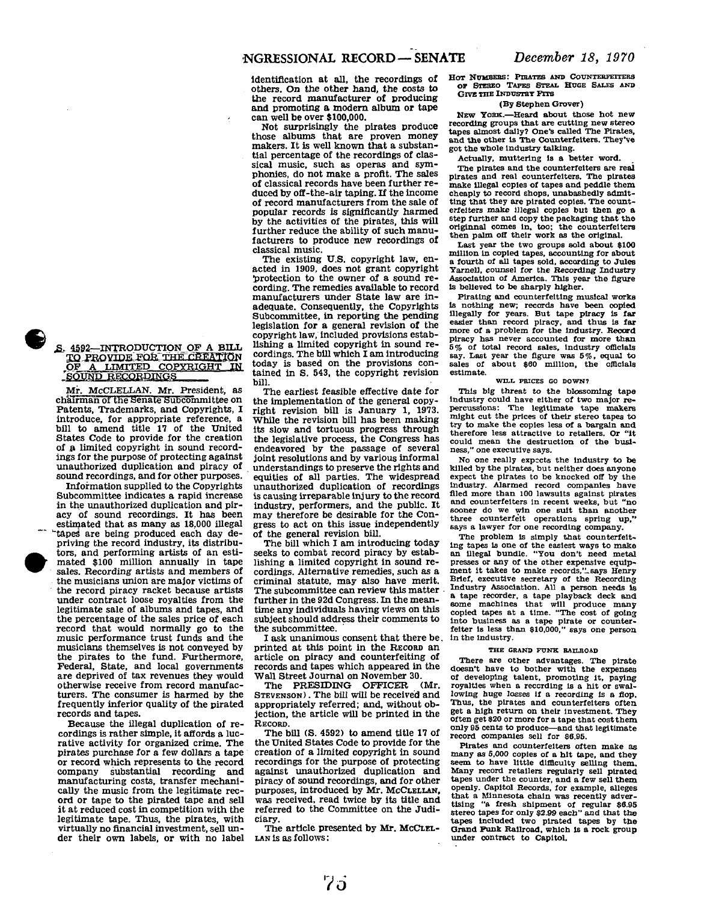identification at all, the recordings of others. On the other hand, the costs to the record manufacturer of producing and promoting a modern album or tape can well be over \$100,000.

Not surprisingly the pirates produce those albums that are proven money makers. It is well known that a substantial percentage of the recordings of classical music, such as operas and symphonies, do not make a profit. The sales of classical records have been further reduced by off-the-air taping. If the income of record manufacturers from the sale of popular records is significantly harmed by the activities of the pirates, this will further reduce the ability of such manufacturers to produce new recordings of classical music.

The existing U.S. copyright law, enacted in 1909, does not grant copyright protection to the owner of a sound recording. The remedies available to record manufacturers under State law are inadequate. Consequently, the Copyrights Subcommittee, in reporting the pending legislation for a general revision of the copyright law, included provisions establishing a limited copyright in sound recordings. The bill which I am introducing today is based on the provisions contained in S. 543, the copyright revision **bill.** 

The earliest feasible effective date for the implementation of the general copyright revision bill is January 1, 1973. While the revision bill has been making its slow and tortuous progress through the legislative process, the Congress has endeavored by the passage of several joint resolutions and by various informal understandings to preserve the rights and equities of all parties. The widespread unauthorized duplication of recordings is causing irreparable injury to the record industry, performers, and the public. It may therefore be desirable for the Congress to act on this issue independently of the general revision bill.

The bill which I am introducing today seeks to combat record piracy by establishing a limited copyright in sound recordings. Alternative remedies, such as a criminal statute, may also have merit. The subcommittee can review this matter further in the 92d Congress. In the meantime any individuals having views on this subject should address their comments to the subcommittee.

I ask unanimous consent that there be. printed at this point in the RECORD an article on piracy and counterfeiting of records and tapes which appeared in the Wall Street Journal on November 30.

The PRESIDING OFFICER (Mr. STEVENSON) . The bill will be received and appropriately referred; and, without objection, the article will be printed in the RECORD.

The bill (S. 4592) to amend title 17 of the United States Code to provide for the creation of a limited copyright in sound recordings for the purpose of protecting against unauthorized duplication and piracy of sound recordings, and for other purposes, introduced by Mr. MCCLELLAN, was received, read twice by its title and referred to the Committee on the Judiciary.

The article presented by Mr. McCLEL-LAN is as follows:

**HOT NUMBERS: PIRATES AND COUNTERFEITERS OP STEREO TAPES STEAL HUGE SALES AND GIVE THE INDUSTRY PITS** 

#### **(By Stephen Grover)**

**NEW YORK.—Heard about those hot new recording groups that are cutting new stereo tapes almost dally? One's called The Pirates, and the other Is The Counterfeiters. They've got the whole Industry talking.** 

**Actually, muttering is a better word.** 

**The pirates and the counterfeiters are real pirates and real counterfeiters. The pirates make illegal copies of tapes and peddle them cheaply to record shops, unabashedly admitting that they are pirated copies. The counterfeiters make illegal copies but then go a step further and copy the packaging that the origlnnal comes In, too; the counterfeiters then palm off their work as the original.** 

**Last year the two groups sold about \$100 million in copied tapes, accounting for about a fourth of all tapes sold, according to Jules YarneU, counsel for the Recording Industry Association of America. This year the figure is believed to be sharply higher.** 

**Pirating and counterfeiting musical works Is nothing new; records have been copied Illegally for years. But tape piracy is far easier than record piracy, and thus Is far more of a problem for the Industry. Becord piracy has never accounted for more than 5% of total record sales. Industry officials say. Last year the figure was 5%, equal to sales of about \$60 million, the officials estimate.** 

## **WILL PRICES GO DOWN?**

**This big threat to the blossoming tape Industry could have either of two major repercussions: The legitimate tape makers might cut the prices of their stereo tapes to try to make the copies less of a bargain and therefore less attractive to retailers. Or "it could mean the destruction of the busi-ness," one executive says.** 

**No one really expects the Industry to be killed by the pirates, but neither does anyone expect the pirates to be knocked off by the industry. Alarmed record companies have filed more than 100 lawsuits against pirates and counterfeiters In recent weeks, but "no sooner do we win one suit than another three counterfeit operations spring up," says a lawyer for one recording company.** 

**The problem is simply that counterfeiting tapes Is one of the easiest ways to make an illegal bundle. "You don't need metal presses or any of the other expensive equip**ment it takes to make records," says Henry **Brief, executive secretary of the Recording Industry Association. All a person needs Is a tape recorder, a tape playback deck and some machines that will produce many copied tapes at a time. "The cost of going into business as a tape pirate or counterfeiter is less than \$10,000," says one person in the Industry.** 

### **THE GRAND PUNK RAILROAD**

**There are other advantages. The pirate doesn't have to bother with the expenses of developing talent, promoting it, paying royalties when a recording is a hit or swal**lowing huge losses if a recording is a flop.<br>Thus, the pirates and counterfeiters often **get a high return on their investment. They often get \$20 or more for a tape that cost them only 95 cents to produce—and that legitimate record companies sell for \$6.95.** 

**Pirates and counterfeiters often make as many as 5,000 copies of a hit tape, and they seem to have little difficulty selling them. Many record retailers regularly sell pirated**  tapes under the counter, and a few sell them **openly. Capitol Records, for example, alleges that a Minnesota chain was recently advertising "a fresh shipment of regular \$6.95 stereo tapes for only \$2.99 each" and that the tapes Included two pirated tapes by the Grand Funk Railroad, which is a rock group under contract to Capitol.** 

# **E. 4592—INTRODUCTION OF A BILL** TO PROVIDE FOR THE CREATION

Mr. McCLELLAN. Mr. President, as chairman or the Senate subcommittee on Patents, Trademarks, and Copyrights, I introduce, for appropriate reference, a bill to amend title 17 of the United States Code to provide for the creation of *&* limited copyright in sound recordings for the purpose of protecting against unauthorized duplication and piracy of sound recordings, and for other purposes.

Information supplied to the Copyrights Subcommittee indicates a rapid increase in the unauthorized duplication and piracy of sound recordings. It has been estimated that as many as 18,000 illegal tapes are being produced each day depriving the record industry, its distributors, and performing artists of an estimated \$100 million annually in tape sales. Recording artists and members of the musicians union are major victims of the record piracy racket because artists under contract loose royalties from the legitimate sale of albums and tapes, and the percentage of the sales price of each record that would normally go to the music performance trust funds and the musicians themselves is not conveyed by the pirates to the fund. Furthermore, Federal, State, and local governments are deprived of tax revenues they would otherwise receive from record manufacturers. The consumer is harmed by the frequently inferior quality of the pirated records and tapes.

Because the illegal duplication of recordings is rather simple, it affords a lucrative activity for organized crime. The pirates purchase for a few dollars a tape or record which represents to the record<br>company substantial recording and substantial recording and manufacturing costs, transfer mechanically the music from the legitimate record or tape to the pirated tape and sell it at reduced cost in competition with the legitimate tape. Thus, the pirates, with virtually no financial investment, sell under their own labels, or with no label